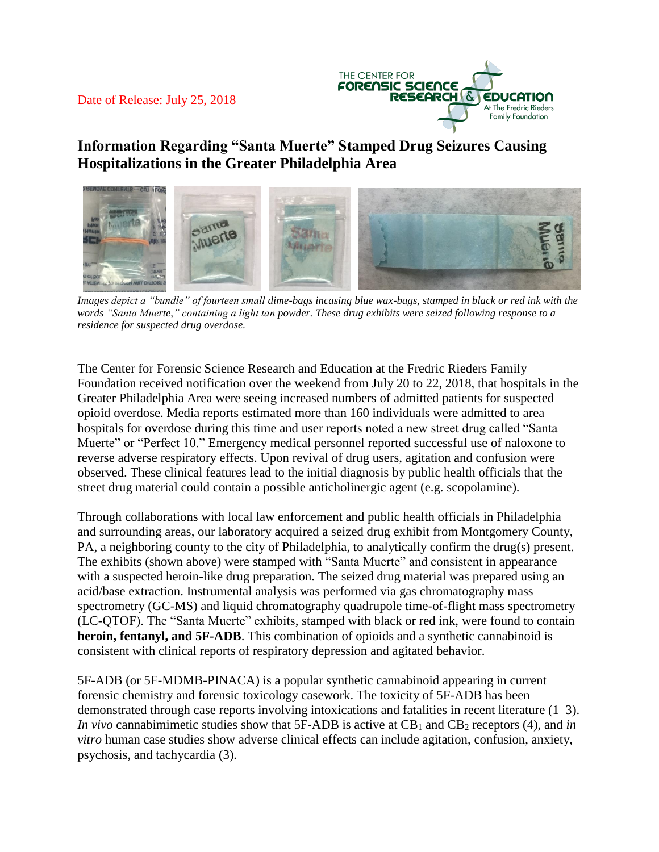### Date of Release: July 25, 2018



# **Information Regarding "Santa Muerte" Stamped Drug Seizures Causing Hospitalizations in the Greater Philadelphia Area**



*Images depict a "bundle" of fourteen small dime-bags incasing blue wax-bags, stamped in black or red ink with the words "Santa Muerte," containing a light tan powder. These drug exhibits were seized following response to a residence for suspected drug overdose.*

The Center for Forensic Science Research and Education at the Fredric Rieders Family Foundation received notification over the weekend from July 20 to 22, 2018, that hospitals in the Greater Philadelphia Area were seeing increased numbers of admitted patients for suspected opioid overdose. Media reports estimated more than 160 individuals were admitted to area hospitals for overdose during this time and user reports noted a new street drug called "Santa Muerte" or "Perfect 10." Emergency medical personnel reported successful use of naloxone to reverse adverse respiratory effects. Upon revival of drug users, agitation and confusion were observed. These clinical features lead to the initial diagnosis by public health officials that the street drug material could contain a possible anticholinergic agent (e.g. scopolamine).

Through collaborations with local law enforcement and public health officials in Philadelphia and surrounding areas, our laboratory acquired a seized drug exhibit from Montgomery County, PA, a neighboring county to the city of Philadelphia, to analytically confirm the drug(s) present. The exhibits (shown above) were stamped with "Santa Muerte" and consistent in appearance with a suspected heroin-like drug preparation. The seized drug material was prepared using an acid/base extraction. Instrumental analysis was performed via gas chromatography mass spectrometry (GC-MS) and liquid chromatography quadrupole time-of-flight mass spectrometry (LC-QTOF). The "Santa Muerte" exhibits, stamped with black or red ink, were found to contain **heroin, fentanyl, and 5F-ADB**. This combination of opioids and a synthetic cannabinoid is consistent with clinical reports of respiratory depression and agitated behavior.

5F-ADB (or 5F-MDMB-PINACA) is a popular synthetic cannabinoid appearing in current forensic chemistry and forensic toxicology casework. The toxicity of 5F-ADB has been demonstrated through case reports involving intoxications and fatalities in recent literature (1–3). *In vivo* cannabimimetic studies show that 5F-ADB is active at CB<sub>1</sub> and CB<sub>2</sub> receptors (4), and *in vitro* human case studies show adverse clinical effects can include agitation, confusion, anxiety, psychosis, and tachycardia (3).